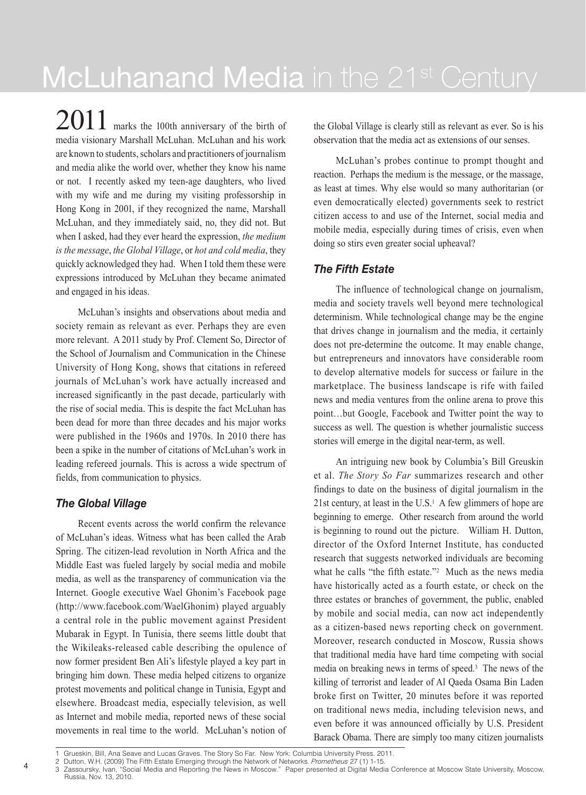McLuhanand Media in the 21<sup>st</sup> Century

2011 marks the 100th anniversary of the birth of media visionary Marshall McLuhan. McLuhan and his work are known to students, scholars and practitioners of journalism and media alike the world over, whether they know his name or not. I recently asked my teen-age daughters, who lived with my wife and me during my visiting professorship in Hong Kong in 2001, if they recognized the name, Marshall McLuhan, and they immediately said, no, they did not. But when I asked, had they ever heard the expression, *the medium is the message*, *the Global Village*, or *hot and cold media*, they quickly acknowledged they had. When I told them these were expressions introduced by McLuhan they became animated and engaged in his ideas.

McLuhan's insights and observations about media and society remain as relevant as ever. Perhaps they are even more relevant. A 2011 study by Prof. Clement So, Director of the School of Journalism and Communication in the Chinese University of Hong Kong, shows that citations in refereed journals of McLuhan's work have actually increased and increased significantly in the past decade, particularly with the rise of social media. This is despite the fact McLuhan has been dead for more than three decades and his major works were published in the 1960s and 1970s. In 2010 there has been a spike in the number of citations of McLuhan's work in leading refereed journals. This is across a wide spectrum of fields, from communication to physics.

## *The Global Village*

4

Recent events across the world confirm the relevance of McLuhan's ideas. Witness what has been called the Arab Spring. The citizen-lead revolution in North Africa and the Middle East was fueled largely by social media and mobile media, as well as the transparency of communication via the Internet. Google executive Wael Ghonim's Facebook page (http://www.facebook.com/WaelGhonim) played arguably a central role in the public movement against President Mubarak in Egypt. In Tunisia, there seems little doubt that the Wikileaks-released cable describing the opulence of now former president Ben Ali's lifestyle played a key part in bringing him down. These media helped citizens to organize protest movements and political change in Tunisia, Egypt and elsewhere. Broadcast media, especially television, as well as Internet and mobile media, reported news of these social movements in real time to the world. McLuhan's notion of the Global Village is clearly still as relevant as ever. So is his observation that the media act as extensions of our senses.

McLuhan's probes continue to prompt thought and reaction. Perhaps the medium is the message, or the massage, as least at times. Why else would so many authoritarian (or even democratically elected) governments seek to restrict citizen access to and use of the Internet, social media and mobile media, especially during times of crisis, even when doing so stirs even greater social upheaval?

## *The Fifth Estate*

The influence of technological change on journalism, media and society travels well beyond mere technological determinism. While technological change may be the engine that drives change in journalism and the media, it certainly does not pre-determine the outcome. It may enable change, but entrepreneurs and innovators have considerable room to develop alternative models for success or failure in the marketplace. The business landscape is rife with failed news and media ventures from the online arena to prove this point…but Google, Facebook and Twitter point the way to success as well. The question is whether journalistic success stories will emerge in the digital near-term, as well.

An intriguing new book by Columbia's Bill Greuskin et al. *The Story So Far* summarizes research and other findings to date on the business of digital journalism in the 21st century, at least in the  $U.S.<sup>1</sup>$  A few glimmers of hope are beginning to emerge. Other research from around the world is beginning to round out the picture. William H. Dutton, director of the Oxford Internet Institute, has conducted research that suggests networked individuals are becoming what he calls "the fifth estate."<sup>2</sup> Much as the news media have historically acted as a fourth estate, or check on the three estates or branches of government, the public, enabled by mobile and social media, can now act independently as a citizen-based news reporting check on government. Moreover, research conducted in Moscow, Russia shows that traditional media have hard time competing with social media on breaking news in terms of speed.3 The news of the killing of terrorist and leader of Al Qaeda Osama Bin Laden broke first on Twitter, 20 minutes before it was reported on traditional news media, including television news, and even before it was announced officially by U.S. President Barack Obama. There are simply too many citizen journalists

<sup>1</sup> Grueskin, Bill, Ana Seave and Lucas Graves. The Story So Far. New York: Columbia University Press. 2011.

<sup>2</sup> Dutton, W.H. (2009) The Fifth Estate Emerging through the Network of Networks. Prometheus 27 (1) 1-15.

<sup>3</sup> Zassoursky, Ivan, "Social Media and Reporting the News in Moscow." Paper presented at Digital Media Conference at Moscow State University, Moscow, Russia, Nov. 13, 2010.